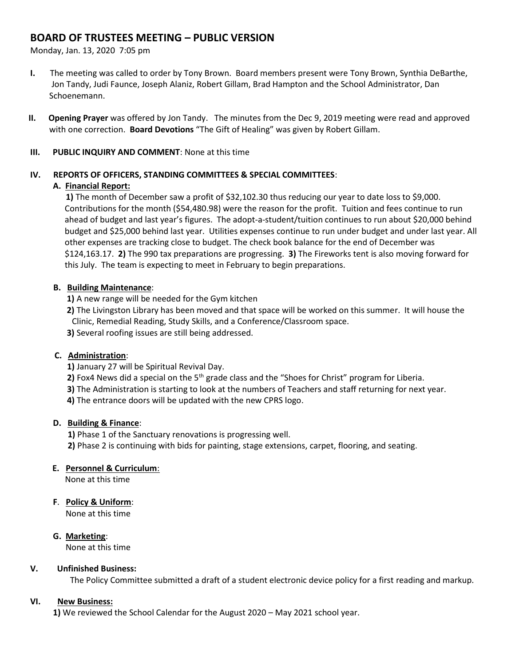# **BOARD OF TRUSTEES MEETING – PUBLIC VERSION**

Monday, Jan. 13, 2020 7:05 pm

- **I.** The meeting was called to order by Tony Brown. Board members present were Tony Brown, Synthia DeBarthe, Jon Tandy, Judi Faunce, Joseph Alaniz, Robert Gillam, Brad Hampton and the School Administrator, Dan Schoenemann.
- **II. Opening Prayer** was offered by Jon Tandy. The minutes from the Dec 9, 2019 meeting were read and approved with one correction. **Board Devotions** "The Gift of Healing" was given by Robert Gillam.

### **III. PUBLIC INQUIRY AND COMMENT**: None at this time

# **IV. REPORTS OF OFFICERS, STANDING COMMITTEES & SPECIAL COMMITTEES**:

# **A. Financial Report:**

 **1)** The month of December saw a profit of \$32,102.30 thus reducing our year to date loss to \$9,000. Contributions for the month (\$54,480.98) were the reason for the profit. Tuition and fees continue to run ahead of budget and last year's figures. The adopt-a-student/tuition continues to run about \$20,000 behind budget and \$25,000 behind last year. Utilities expenses continue to run under budget and under last year. All other expenses are tracking close to budget. The check book balance for the end of December was \$124,163.17. **2)** The 990 tax preparations are progressing. **3)** The Fireworks tent is also moving forward for this July. The team is expecting to meet in February to begin preparations.

# **B. Building Maintenance**:

**1)** A new range will be needed for the Gym kitchen

- **2)** The Livingston Library has been moved and that space will be worked on this summer. It will house the Clinic, Remedial Reading, Study Skills, and a Conference/Classroom space.
- **3)** Several roofing issues are still being addressed.

# **C. Administration**:

**1)** January 27 will be Spiritual Revival Day.

- **2)** Fox4 News did a special on the 5<sup>th</sup> grade class and the "Shoes for Christ" program for Liberia.
- **3)** The Administration is starting to look at the numbers of Teachers and staff returning for next year.

**4)** The entrance doors will be updated with the new CPRS logo.

#### **D. Building & Finance**:

 **1)** Phase 1 of the Sanctuary renovations is progressing well. **2)** Phase 2 is continuing with bids for painting, stage extensions, carpet, flooring, and seating.

#### **E. Personnel & Curriculum**:

None at this time

**F**. **Policy & Uniform**:

None at this time

# **G. Marketing**:

None at this time

#### **V. Unfinished Business:**

The Policy Committee submitted a draft of a student electronic device policy for a first reading and markup.

#### **VI. New Business:**

**1)** We reviewed the School Calendar for the August 2020 – May 2021 school year.